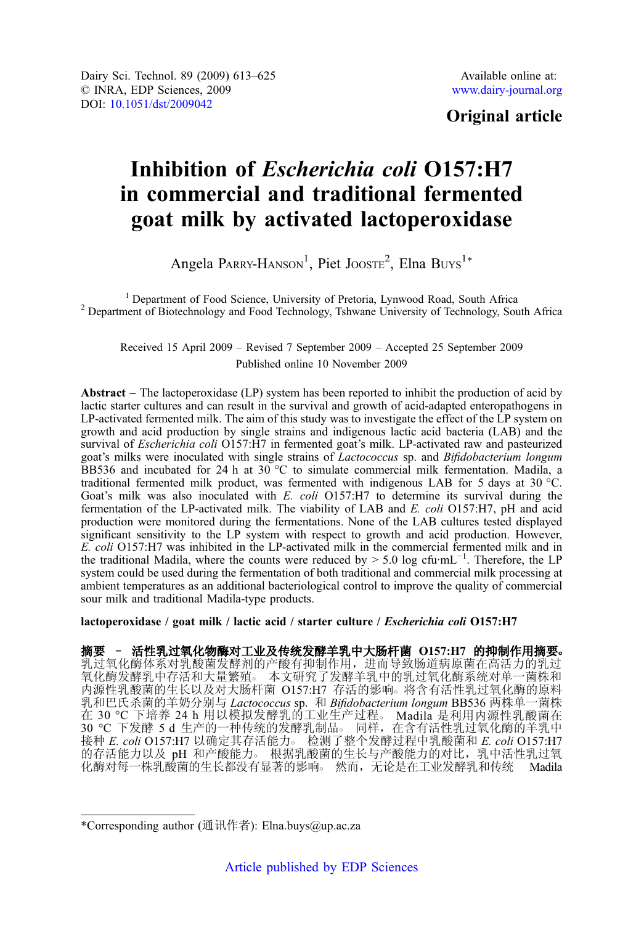# Original article

# Inhibition of Escherichia coli O157:H7 in commercial and traditional fermented goat milk by activated lactoperoxidase

Angela PARRY-HANSON<sup>1</sup>, Piet JOOSTE<sup>2</sup>, Elna BUYS<sup>1\*</sup>

<sup>1</sup> Department of Food Science, University of Pretoria, Lynwood Road, South Africa <sup>2</sup> Department of Biotechnology and Food Technology, Tshwane University of Technology, South Africa

Received 15 April 2009 – Revised 7 September 2009 – Accepted 25 September 2009 Published online 10 November 2009

Abstract – The lactoperoxidase (LP) system has been reported to inhibit the production of acid by lactic starter cultures and can result in the survival and growth of acid-adapted enteropathogens in LP-activated fermented milk. The aim of this study was to investigate the effect of the LP system on growth and acid production by single strains and indigenous lactic acid bacteria (LAB) and the survival of *Escherichia coli* O157:H7 in fermented goat's milk. LP-activated raw and pasteurized goat's milks were inoculated with single strains of Lactococcus sp. and Bifidobacterium longum BB536 and incubated for 24 h at 30 $^{\circ}$ C to simulate commercial milk fermentation. Madila, a traditional fermented milk product, was fermented with indigenous LAB for 5 days at 30 °C. Goat's milk was also inoculated with E. coli O157:H7 to determine its survival during the fermentation of the LP-activated milk. The viability of LAB and E. coli O157:H7, pH and acid production were monitored during the fermentations. None of the LAB cultures tested displayed significant sensitivity to the LP system with respect to growth and acid production. However, E. coli O157:H7 was inhibited in the LP-activated milk in the commercial fermented milk and in the traditional Madila, where the counts were reduced by > 5.0 log cfu·mL−<sup>1</sup> . Therefore, the LP system could be used during the fermentation of both traditional and commercial milk processing at ambient temperatures as an additional bacteriological control to improve the quality of commercial sour milk and traditional Madila-type products.

lactoperoxidase / goat milk / lactic acid / starter culture / Escherichia coli O157:H7

摘要 – 活性乳过氧化物酶对工业及传统发酵羊乳中大肠杆菌 O157:H7 的抑制作用摘要○ 乳过氧化酶体系对乳酸菌发酵剂的产酸有抑制作用,进而导致肠道病原菌在高活力的乳过 氧化酶发酵乳中存活和大量繁殖○ 本文研究了发酵羊乳中的乳过氧化酶系统对单一菌株和 内源性乳酸菌的生长以及对大肠杆菌 O157:H7 存活的影响。将含有活性乳过氧化酶的原料 乳和巴氏杀菌的羊奶分别与 *Lactococcus* sp. 和 *Bifidobacterium longum* BB536 两株单一菌株 在 30 ℃ 下培养 24 h 用以模拟发酵乳的工业生产过程。 Madila 是利用内源性乳酸菌在 30 ℃ 下发酵 5 d 生产的一种传统的发酵乳制品。 同样,在含有活性乳过氧化酶的羊乳中 接种 E. coli O157:H7 以确定其存活能力。 检测了整个发酵过程中乳酸菌和 E. coli O157:H7 的存活能力以及 pH 和产酸能力; 根据乳酸菌的生长与产酸能力的对比, 乳中活性乳过氧 化酶对每一株乳酸菌的生长都没有显著的影响。然而,无论是在工业发酵乳和传统 Madila

<sup>\*</sup>Corresponding author (通讯作者): Elna.buys@up.ac.za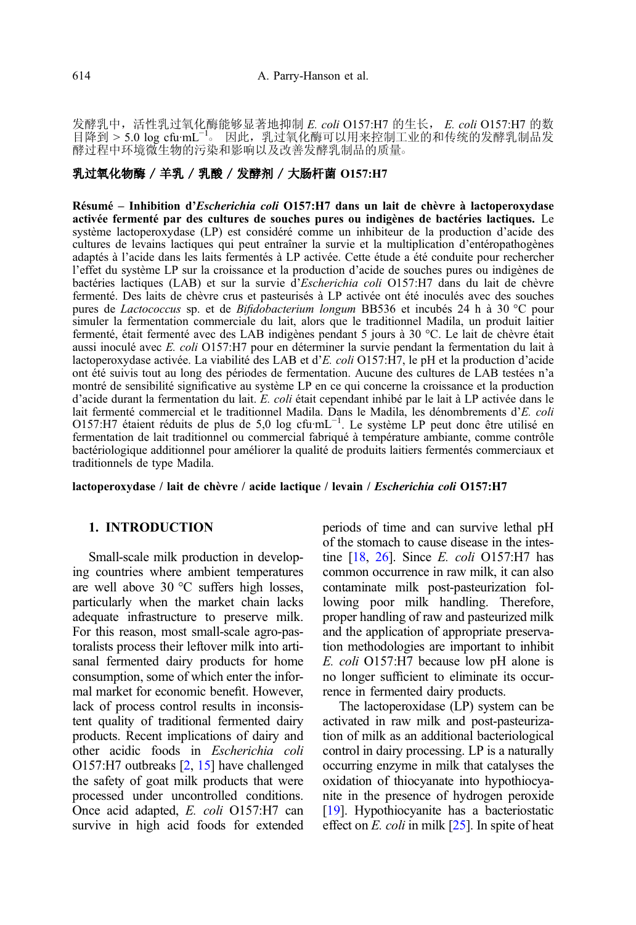发酵乳中,活性乳过氧化酶能够显著地抑制 E. coli O157:H7 的生长, E. coli O157:H7 的数 目降到 > 5.0 log cfu·mL<sup>-1</sup>。 因此, 乳过氧化酶可以用来控制工业的和传统的发酵乳制品发 酵过程中环境微生物的污染和影响以及改善发酵乳制品的质量。

# 乳过氧化物酶 / 羊乳 / 乳酸 / 发酵剂 / 大肠杆菌 O157:H7

Résumé – Inhibition d'Escherichia coli O157:H7 dans un lait de chèvre à lactoperoxydase activée fermenté par des cultures de souches pures ou indigènes de bactéries lactiques. Le système lactoperoxydase (LP) est considéré comme un inhibiteur de la production d'acide des cultures de levains lactiques qui peut entraîner la survie et la multiplication d'entéropathogènes adaptés à l'acide dans les laits fermentés à LP activée. Cette étude a été conduite pour rechercher l'effet du système LP sur la croissance et la production d'acide de souches pures ou indigènes de bactéries lactiques (LAB) et sur la survie d'Escherichia coli O157:H7 dans du lait de chèvre fermenté. Des laits de chèvre crus et pasteurisés à LP activée ont été inoculés avec des souches pures de Lactococcus sp. et de Bifidobacterium longum BB536 et incubés 24 h à 30 °C pour simuler la fermentation commerciale du lait, alors que le traditionnel Madila, un produit laitier fermenté, était fermenté avec des LAB indigènes pendant 5 jours à 30 °C. Le lait de chèvre était aussi inoculé avec E. coli O157:H7 pour en déterminer la survie pendant la fermentation du lait à lactoperoxydase activée. La viabilité des LAB et d'E. coli O157:H7, le pH et la production d'acide ont été suivis tout au long des périodes de fermentation. Aucune des cultures de LAB testées n'a montré de sensibilité significative au système LP en ce qui concerne la croissance et la production d'acide durant la fermentation du lait. E. coli était cependant inhibé par le lait à LP activée dans le lait fermenté commercial et le traditionnel Madila. Dans le Madila, les dénombrements d'E. coli O157:H7 étaient réduits de plus de 5,0 log cfu·mL−<sup>1</sup> . Le système LP peut donc être utilisé en fermentation de lait traditionnel ou commercial fabriqué à température ambiante, comme contrôle bactériologique additionnel pour améliorer la qualité de produits laitiers fermentés commerciaux et traditionnels de type Madila.

lactoperoxydase / lait de chèvre / acide lactique / levain / Escherichia coli O157:H7

# 1. INTRODUCTION

Small-scale milk production in developing countries where ambient temperatures are well above 30 °C suffers high losses, particularly when the market chain lacks adequate infrastructure to preserve milk. For this reason, most small-scale agro-pastoralists process their leftover milk into artisanal fermented dairy products for home consumption, some of which enter the informal market for economic benefit. However, lack of process control results in inconsistent quality of traditional fermented dairy products. Recent implications of dairy and other acidic foods in Escherichia coli O157:H7 outbreaks [\[2](#page-11-0), [15\]](#page-12-0) have challenged the safety of goat milk products that were processed under uncontrolled conditions. Once acid adapted, E. coli O157:H7 can survive in high acid foods for extended periods of time and can survive lethal pH of the stomach to cause disease in the intestine [[18](#page-12-0), [26](#page-12-0)]. Since E. coli O157:H7 has common occurrence in raw milk, it can also contaminate milk post-pasteurization following poor milk handling. Therefore, proper handling of raw and pasteurized milk and the application of appropriate preservation methodologies are important to inhibit E. coli O157:H7 because low pH alone is no longer sufficient to eliminate its occurrence in fermented dairy products.

The lactoperoxidase (LP) system can be activated in raw milk and post-pasteurization of milk as an additional bacteriological control in dairy processing. LP is a naturally occurring enzyme in milk that catalyses the oxidation of thiocyanate into hypothiocyanite in the presence of hydrogen peroxide [[19](#page-12-0)]. Hypothiocyanite has a bacteriostatic effect on E. coli in milk  $[25]$ . In spite of heat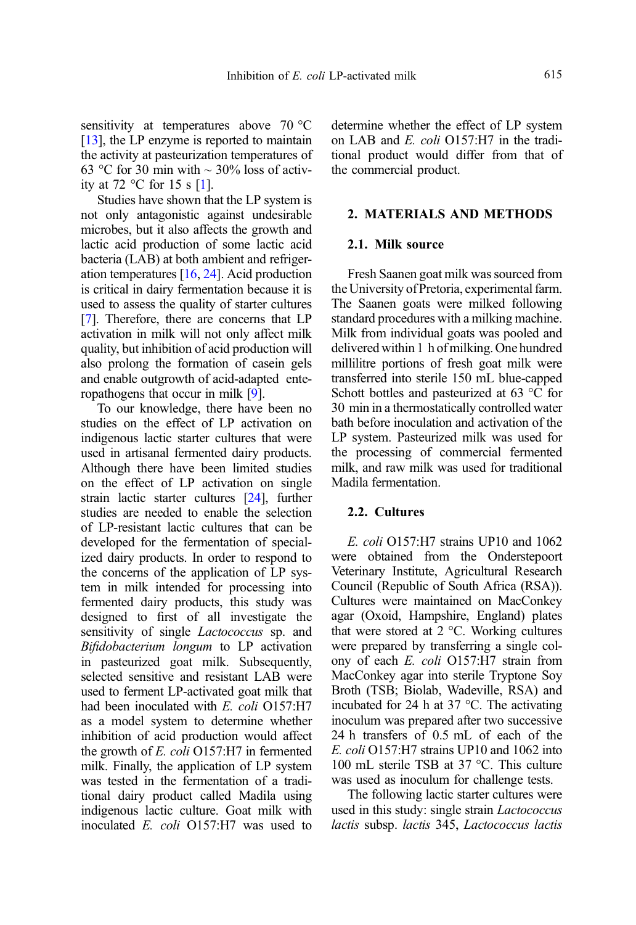sensitivity at temperatures above 70 °C [[13](#page-12-0)], the LP enzyme is reported to maintain the activity at pasteurization temperatures of 63 °C for 30 min with  $\sim$  30% loss of activity at 72  $\degree$ C for 15 s [\[1\]](#page-11-0).

Studies have shown that the LP system is not only antagonistic against undesirable microbes, but it also affects the growth and lactic acid production of some lactic acid bacteria (LAB) at both ambient and refrigeration temperatures [\[16](#page-12-0), [24](#page-12-0)]. Acid production is critical in dairy fermentation because it is used to assess the quality of starter cultures [[7](#page-11-0)]. Therefore, there are concerns that LP activation in milk will not only affect milk quality, but inhibition of acid production will also prolong the formation of casein gels and enable outgrowth of acid-adapted enteropathogens that occur in milk [[9\]](#page-11-0).

To our knowledge, there have been no studies on the effect of LP activation on indigenous lactic starter cultures that were used in artisanal fermented dairy products. Although there have been limited studies on the effect of LP activation on single strain lactic starter cultures [\[24](#page-12-0)], further studies are needed to enable the selection of LP-resistant lactic cultures that can be developed for the fermentation of specialized dairy products. In order to respond to the concerns of the application of LP system in milk intended for processing into fermented dairy products, this study was designed to first of all investigate the sensitivity of single *Lactococcus* sp. and Bifidobacterium longum to LP activation in pasteurized goat milk. Subsequently, selected sensitive and resistant LAB were used to ferment LP-activated goat milk that had been inoculated with E. coli O157:H7 as a model system to determine whether inhibition of acid production would affect the growth of E. coli O157:H7 in fermented milk. Finally, the application of LP system was tested in the fermentation of a traditional dairy product called Madila using indigenous lactic culture. Goat milk with inoculated E. coli O157:H7 was used to

determine whether the effect of LP system on LAB and E. coli O157:H7 in the traditional product would differ from that of the commercial product.

# 2. MATERIALS AND METHODS

#### 2.1. Milk source

Fresh Saanen goat milk was sourced from the University of Pretoria, experimental farm. The Saanen goats were milked following standard procedures with a milking machine. Milk from individual goats was pooled and delivered within 1 h of milking. One hundred millilitre portions of fresh goat milk were transferred into sterile 150 mL blue-capped Schott bottles and pasteurized at 63 °C for 30 min in a thermostatically controlled water bath before inoculation and activation of the LP system. Pasteurized milk was used for the processing of commercial fermented milk, and raw milk was used for traditional Madila fermentation.

# 2.2. Cultures

E. coli O157:H7 strains UP10 and 1062 were obtained from the Onderstepoort Veterinary Institute, Agricultural Research Council (Republic of South Africa (RSA)). Cultures were maintained on MacConkey agar (Oxoid, Hampshire, England) plates that were stored at 2 °C. Working cultures were prepared by transferring a single colony of each E. coli O157:H7 strain from MacConkey agar into sterile Tryptone Soy Broth (TSB; Biolab, Wadeville, RSA) and incubated for 24 h at 37 °C. The activating inoculum was prepared after two successive 24 h transfers of 0.5 mL of each of the E. coli O157:H7 strains UP10 and 1062 into 100 mL sterile TSB at 37 °C. This culture was used as inoculum for challenge tests.

The following lactic starter cultures were used in this study: single strain Lactococcus lactis subsp. lactis 345, Lactococcus lactis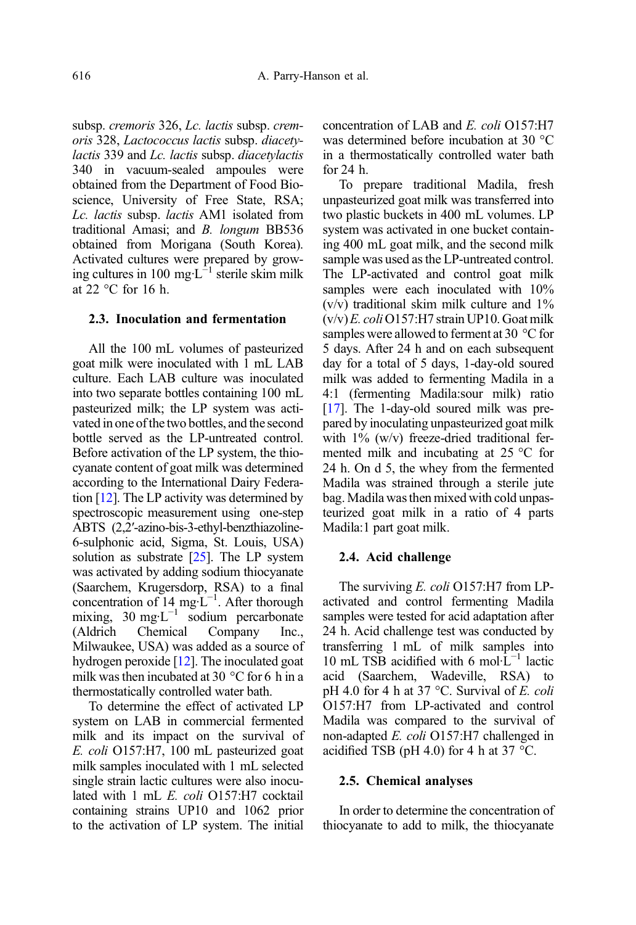subsp. cremoris 326, Lc. lactis subsp. cremoris 328, Lactococcus lactis subsp. diacetylactis 339 and Lc. lactis subsp. diacetylactis 340 in vacuum-sealed ampoules were obtained from the Department of Food Bioscience, University of Free State, RSA; Lc. lactis subsp. lactis AM1 isolated from traditional Amasi; and B. longum BB536 obtained from Morigana (South Korea). Activated cultures were prepared by growing cultures in 100 mg·L−<sup>1</sup> sterile skim milk at  $22$  °C for 16 h.

### 2.3. Inoculation and fermentation

All the 100 mL volumes of pasteurized goat milk were inoculated with 1 mL LAB culture. Each LAB culture was inoculated into two separate bottles containing 100 mL pasteurized milk; the LP system was activated in one of the two bottles, and the second bottle served as the LP-untreated control. Before activation of the LP system, the thiocyanate content of goat milk was determined according to the International Dairy Federation [\[12\]](#page-11-0). The LP activity was determined by spectroscopic measurement using one-step ABTS (2,2′-azino-bis-3-ethyl-benzthiazoline-6-sulphonic acid, Sigma, St. Louis, USA) solution as substrate  $[25]$ . The LP system was activated by adding sodium thiocyanate (Saarchem, Krugersdorp, RSA) to a final concentration of 14 mg·L<sup>-1</sup>. After thorough mixing, 30 mg·L<sup>-1</sup> sodium percarbonate<br>(Aldrich Chemical Company Inc.. (Aldrich Chemical Company Inc., Milwaukee, USA) was added as a source of hydrogen peroxide [[12](#page-11-0)]. The inoculated goat milk was then incubated at 30 °C for 6 h in a thermostatically controlled water bath.

To determine the effect of activated LP system on LAB in commercial fermented milk and its impact on the survival of E. coli O157:H7, 100 mL pasteurized goat milk samples inoculated with 1 mL selected single strain lactic cultures were also inoculated with 1 mL E. coli O157:H7 cocktail containing strains UP10 and 1062 prior to the activation of LP system. The initial concentration of LAB and E. coli O157:H7 was determined before incubation at 30 °C in a thermostatically controlled water bath for 24 h.

To prepare traditional Madila, fresh unpasteurized goat milk was transferred into two plastic buckets in 400 mL volumes. LP system was activated in one bucket containing 400 mL goat milk, and the second milk sample was used as the LP-untreated control. The LP-activated and control goat milk samples were each inoculated with  $10\%$ (v/v) traditional skim milk culture and 1%  $(v/v)E.$  coli O157:H7 strain UP10. Goat milk samples were allowed to ferment at 30 °C for 5 days. After 24 h and on each subsequent day for a total of 5 days, 1-day-old soured milk was added to fermenting Madila in a 4:1 (fermenting Madila:sour milk) ratio [[17](#page-12-0)]. The 1-day-old soured milk was prepared by inoculating unpasteurized goat milk with  $1\%$  (w/v) freeze-dried traditional fermented milk and incubating at 25 °C for 24 h. On d 5, the whey from the fermented Madila was strained through a sterile jute bag. Madila was then mixed with cold unpasteurized goat milk in a ratio of 4 parts Madila:1 part goat milk.

#### 2.4. Acid challenge

The surviving E. coli O157:H7 from LPactivated and control fermenting Madila samples were tested for acid adaptation after 24 h. Acid challenge test was conducted by transferring 1 mL of milk samples into 10 mL TSB acidified with 6 mol· $\overline{L}^{-1}$  lactic acid (Saarchem, Wadeville, RSA) to pH 4.0 for 4 h at 37 °C. Survival of E. coli O157:H7 from LP-activated and control Madila was compared to the survival of non-adapted E. coli O157:H7 challenged in acidified TSB (pH 4.0) for 4 h at 37  $^{\circ}$ C.

#### 2.5. Chemical analyses

In order to determine the concentration of thiocyanate to add to milk, the thiocyanate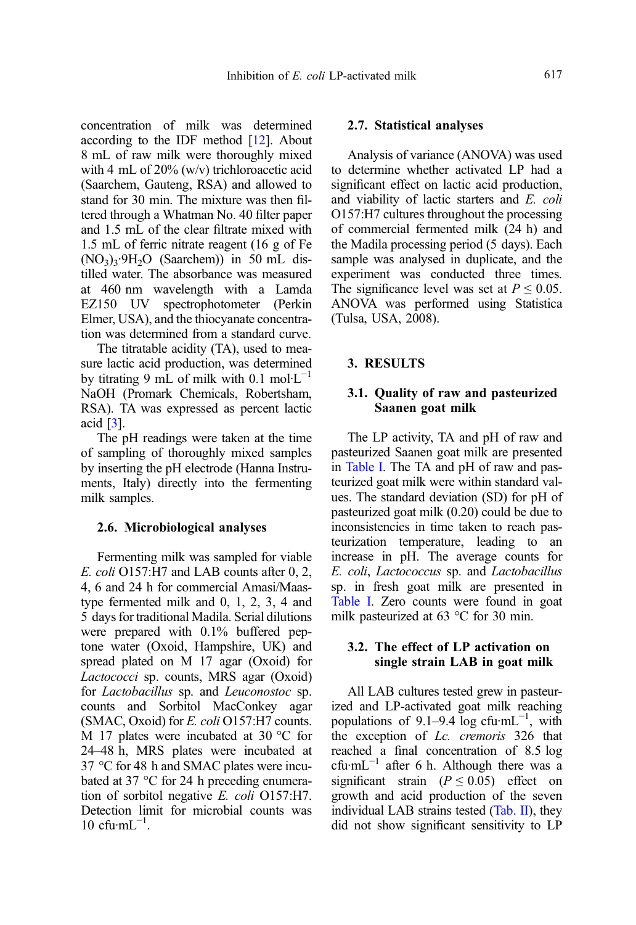concentration of milk was determined according to the IDF method [[12](#page-11-0)]. About 8 mL of raw milk were thoroughly mixed with 4 mL of 20% (w/v) trichloroacetic acid (Saarchem, Gauteng, RSA) and allowed to stand for 30 min. The mixture was then filtered through a Whatman No. 40 filter paper and 1.5 mL of the clear filtrate mixed with 1.5 mL of ferric nitrate reagent (16 g of Fe  $(NO_3)$ <sub>3</sub>·9H<sub>2</sub>O (Saarchem)) in 50 mL distilled water. The absorbance was measured at 460 nm wavelength with a Lamda EZ150 UV spectrophotometer (Perkin Elmer, USA), and the thiocyanate concentration was determined from a standard curve.

The titratable acidity (TA), used to measure lactic acid production, was determined by titrating 9 mL of milk with 0.1 mol $L^{-1}$ NaOH (Promark Chemicals, Robertsham, RSA). TA was expressed as percent lactic acid [[3\]](#page-11-0).

The pH readings were taken at the time of sampling of thoroughly mixed samples by inserting the pH electrode (Hanna Instruments, Italy) directly into the fermenting milk samples.

#### 2.6. Microbiological analyses

Fermenting milk was sampled for viable E. coli O157:H7 and LAB counts after 0, 2, 4, 6 and 24 h for commercial Amasi/Maastype fermented milk and 0, 1, 2, 3, 4 and 5 days for traditional Madila. Serial dilutions were prepared with 0.1% buffered peptone water (Oxoid, Hampshire, UK) and spread plated on M 17 agar (Oxoid) for Lactococci sp. counts, MRS agar (Oxoid) for Lactobacillus sp. and Leuconostoc sp. counts and Sorbitol MacConkey agar (SMAC, Oxoid) for E. coli O157:H7 counts. M 17 plates were incubated at 30 °C for 24–48 h, MRS plates were incubated at 37 °C for 48 h and SMAC plates were incubated at 37 °C for 24 h preceding enumeration of sorbitol negative E. coli O157:H7. Detection limit for microbial counts was 10 cfu·m $L^{-1}$ .

#### 2.7. Statistical analyses

Analysis of variance (ANOVA) was used to determine whether activated LP had a significant effect on lactic acid production, and viability of lactic starters and E. coli O157:H7 cultures throughout the processing of commercial fermented milk (24 h) and the Madila processing period (5 days). Each sample was analysed in duplicate, and the experiment was conducted three times. The significance level was set at  $P \le 0.05$ . ANOVA was performed using Statistica (Tulsa, USA, 2008).

# 3. RESULTS

# 3.1. Quality of raw and pasteurized Saanen goat milk

The LP activity, TA and pH of raw and pasteurized Saanen goat milk are presented in [Table I.](#page-5-0) The TA and pH of raw and pasteurized goat milk were within standard values. The standard deviation (SD) for pH of pasteurized goat milk (0.20) could be due to inconsistencies in time taken to reach pasteurization temperature, leading to an increase in pH. The average counts for E. coli, Lactococcus sp. and Lactobacillus sp. in fresh goat milk are presented in [Table I](#page-5-0). Zero counts were found in goat milk pasteurized at 63 °C for 30 min.

# 3.2. The effect of LP activation on single strain LAB in goat milk

All LAB cultures tested grew in pasteurized and LP-activated goat milk reaching populations of 9.1–9.4 log cfu·mL<sup>-1</sup>, with the exception of Lc. cremoris 326 that reached a final concentration of 8.5 log cfu·mL<sup> $-1$ </sup> after 6 h. Although there was a significant strain ( $P \le 0.05$ ) effect on growth and acid production of the seven individual LAB strains tested [\(Tab. II\)](#page-6-0), they did not show significant sensitivity to LP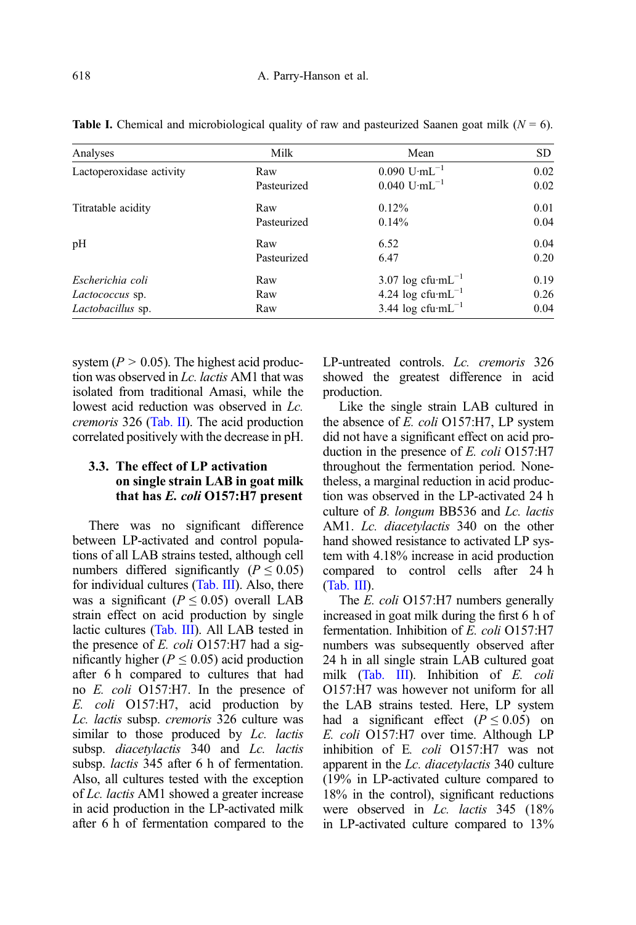| Analyses                 | Milk        | Mean                                           | SD.  |
|--------------------------|-------------|------------------------------------------------|------|
| Lactoperoxidase activity | Raw         | $0.090$ U·mL <sup>-1</sup>                     | 0.02 |
|                          | Pasteurized | $0.040 \text{ U} \cdot \text{m} \text{L}^{-1}$ | 0.02 |
| Titratable acidity       | Raw         | $0.12\%$                                       | 0.01 |
|                          | Pasteurized | $0.14\%$                                       | 0.04 |
| pH                       | Raw         | 6.52                                           | 0.04 |
|                          | Pasteurized | 6.47                                           | 0.20 |
| Escherichia coli         | Raw         | $3.07 \log \text{cfu} \cdot \text{mL}^{-1}$    | 0.19 |
| <i>Lactococcus</i> sp.   | Raw         | 4.24 log cfu $mL^{-1}$                         | 0.26 |
| Lactobacillus sp.        | Raw         | 3.44 $\log$ cfu·mL <sup>-1</sup>               | 0.04 |

<span id="page-5-0"></span>**Table I.** Chemical and microbiological quality of raw and pasteurized Saanen goat milk  $(N = 6)$ .

system ( $P > 0.05$ ). The highest acid production was observed in Lc. lactis AM1 that was isolated from traditional Amasi, while the lowest acid reduction was observed in Lc. cremoris 326 ([Tab. II](#page-6-0)). The acid production correlated positively with the decrease in pH.

# 3.3. The effect of LP activation on single strain LAB in goat milk that has E. coli O157:H7 present

There was no significant difference between LP-activated and control populations of all LAB strains tested, although cell numbers differed significantly ( $P \le 0.05$ ) for individual cultures [\(Tab. III\)](#page-7-0). Also, there was a significant ( $P \le 0.05$ ) overall LAB strain effect on acid production by single lactic cultures ([Tab. III\)](#page-7-0). All LAB tested in the presence of  $E.$  coli O157:H7 had a significantly higher ( $P \leq 0.05$ ) acid production after 6 h compared to cultures that had no E. coli O157:H7. In the presence of E. coli O157:H7, acid production by Lc. lactis subsp. cremoris 326 culture was similar to those produced by Lc. lactis subsp. *diacetylactis* 340 and Lc. lactis subsp. *lactis* 345 after 6 h of fermentation. Also, all cultures tested with the exception of Lc. lactis AM1 showed a greater increase in acid production in the LP-activated milk after 6 h of fermentation compared to the LP-untreated controls. Lc. cremoris 326 showed the greatest difference in acid production.

Like the single strain LAB cultured in the absence of E. coli O157:H7, LP system did not have a significant effect on acid production in the presence of E. coli O157:H7 throughout the fermentation period. Nonetheless, a marginal reduction in acid production was observed in the LP-activated 24 h culture of B. longum BB536 and Lc. lactis AM1. Lc. diacetylactis 340 on the other hand showed resistance to activated LP system with 4.18% increase in acid production compared to control cells after 24 h ([Tab. III\)](#page-7-0).

The *E. coli* O157:H7 numbers generally increased in goat milk during the first 6 h of fermentation. Inhibition of E. coli O157:H7 numbers was subsequently observed after 24 h in all single strain LAB cultured goat milk [\(Tab. III\)](#page-7-0). Inhibition of E. coli O157:H7 was however not uniform for all the LAB strains tested. Here, LP system had a significant effect ( $P \le 0.05$ ) on E. coli O157:H7 over time. Although LP inhibition of E. coli O157:H7 was not apparent in the Lc. diacetylactis 340 culture (19% in LP-activated culture compared to 18% in the control), significant reductions were observed in Lc. lactis 345 (18% in LP-activated culture compared to 13%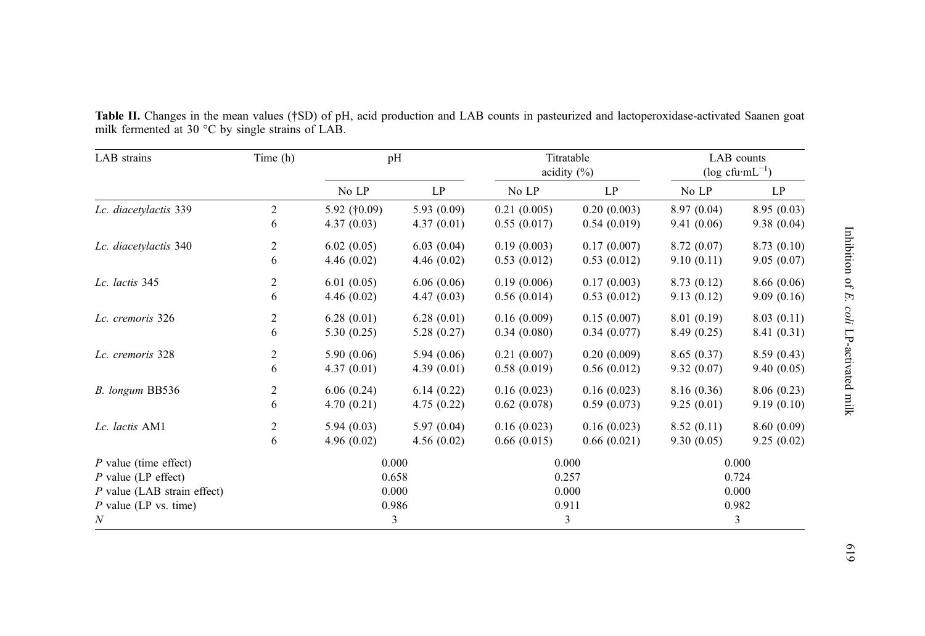| LAB strains                   | Time (h)       | pH             |            | Titratable<br>acidity $(\%)$ |             | LAB counts<br>$(\log c f w m L^{-1})$ |             |
|-------------------------------|----------------|----------------|------------|------------------------------|-------------|---------------------------------------|-------------|
|                               |                | No LP          | LP         | No LP                        | LP          | No LP                                 | LP          |
| Lc. diacetylactis 339         | $\overline{2}$ | 5.92 $(10.09)$ | 5.93(0.09) | 0.21(0.005)                  | 0.20(0.003) | 8.97(0.04)                            | 8.95(0.03)  |
|                               | 6              | 4.37(0.03)     | 4.37(0.01) | 0.55(0.017)                  | 0.54(0.019) | 9.41(0.06)                            | 9.38(0.04)  |
| Lc. diacetylactis 340         | 2              | 6.02(0.05)     | 6.03(0.04) | 0.19(0.003)                  | 0.17(0.007) | 8.72(0.07)                            | 8.73(0.10)  |
|                               | 6              | 4.46(0.02)     | 4.46(0.02) | 0.53(0.012)                  | 0.53(0.012) | 9.10(0.11)                            | 9.05(0.07)  |
| Lc. lactis 345                | 2              | 6.01(0.05)     | 6.06(0.06) | 0.19(0.006)                  | 0.17(0.003) | 8.73(0.12)                            | 8.66(0.06)  |
|                               | 6              | 4.46(0.02)     | 4.47(0.03) | 0.56(0.014)                  | 0.53(0.012) | 9.13(0.12)                            | 9.09(0.16)  |
| Lc. cremoris 326              | 2              | 6.28(0.01)     | 6.28(0.01) | 0.16(0.009)                  | 0.15(0.007) | 8.01(0.19)                            | 8.03(0.11)  |
|                               | 6              | 5.30(0.25)     | 5.28(0.27) | 0.34(0.080)                  | 0.34(0.077) | 8.49(0.25)                            | 8.41 (0.31) |
| Lc. cremoris 328              | 2              | 5.90(0.06)     | 5.94(0.06) | 0.21(0.007)                  | 0.20(0.009) | 8.65(0.37)                            | 8.59(0.43)  |
|                               | 6              | 4.37(0.01)     | 4.39(0.01) | 0.58(0.019)                  | 0.56(0.012) | 9.32(0.07)                            | 9.40(0.05)  |
| B. longum BB536               | 2              | 6.06(0.24)     | 6.14(0.22) | 0.16(0.023)                  | 0.16(0.023) | 8.16(0.36)                            | 8.06(0.23)  |
|                               | 6              | 4.70(0.21)     | 4.75(0.22) | 0.62(0.078)                  | 0.59(0.073) | 9.25(0.01)                            | 9.19(0.10)  |
| Lc. lactis AM1                | 2              | 5.94(0.03)     | 5.97(0.04) | 0.16(0.023)                  | 0.16(0.023) | 8.52(0.11)                            | 8.60(0.09)  |
|                               | 6              | 4.96(0.02)     | 4.56(0.02) | 0.66(0.015)                  | 0.66(0.021) | 9.30(0.05)                            | 9.25(0.02)  |
| $P$ value (time effect)       |                | 0.000          |            | 0.000                        |             | 0.000                                 |             |
| $P$ value (LP effect)         |                | 0.658          |            | 0.257                        |             | 0.724                                 |             |
| $P$ value (LAB strain effect) |                | 0.000          |            | 0.000                        |             | 0.000                                 |             |
| $P$ value (LP vs. time)       | 0.986          |                |            | 0.911                        |             | 0.982                                 |             |
| N                             |                | 3              |            | 3                            |             | 3                                     |             |

<span id="page-6-0"></span>Table II. Changes in the mean values (†SD) of pH, acid production and LAB counts in pasteurized and lactoperoxidase-activated Saanen goa<sup>t</sup> milk fermented at 30 °C by single strains of LAB.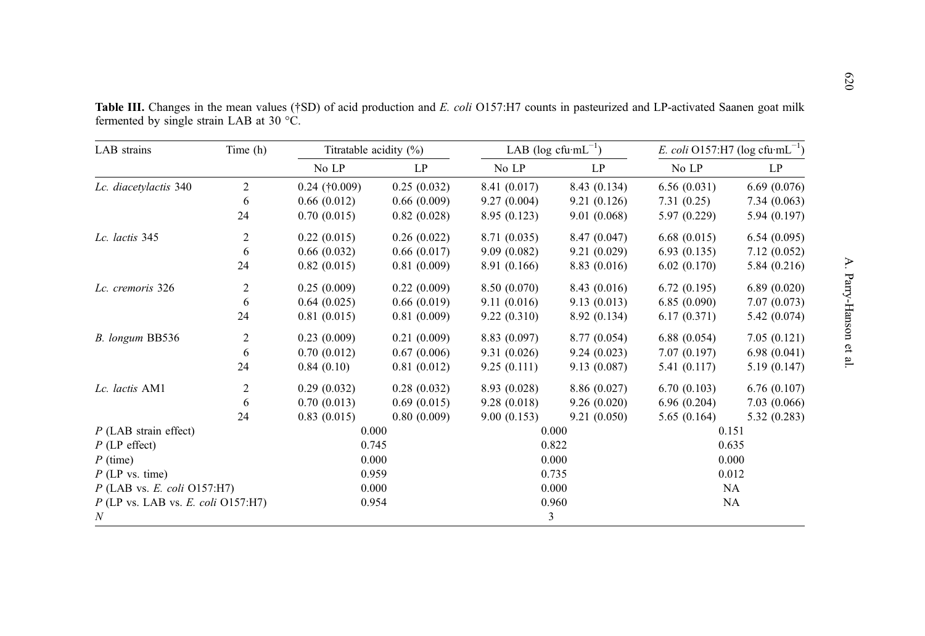| LAB strains                          | Time (h) | Titratable acidity $(\%)$ |             | LAB (log cfu $mL^{-1}$ ) |              | <i>E. coli</i> O157:H7 (log cfu·mL <sup>-1</sup> ) |             |  |
|--------------------------------------|----------|---------------------------|-------------|--------------------------|--------------|----------------------------------------------------|-------------|--|
|                                      |          | No LP                     | LP          | No LP                    | LP           | No LP                                              | LP          |  |
| Lc. diacetylactis 340                | 2        | $0.24$ († $0.009$ )       | 0.25(0.032) | 8.41 (0.017)             | 8.43 (0.134) | 6.56(0.031)                                        | 6.69(0.076) |  |
|                                      | 6        | 0.66(0.012)               | 0.66(0.009) | 9.27(0.004)              | 9.21(0.126)  | 7.31(0.25)                                         | 7.34(0.063) |  |
|                                      | 24       | 0.70(0.015)               | 0.82(0.028) | 8.95(0.123)              | 9.01(0.068)  | 5.97 (0.229)                                       | 5.94(0.197) |  |
| Lc. lactis 345                       | 2        | 0.22(0.015)               | 0.26(0.022) | 8.71 (0.035)             | 8.47(0.047)  | 6.68(0.015)                                        | 6.54(0.095) |  |
|                                      | 6        | 0.66(0.032)               | 0.66(0.017) | 9.09(0.082)              | 9.21(0.029)  | 6.93(0.135)                                        | 7.12(0.052) |  |
|                                      | 24       | 0.82(0.015)               | 0.81(0.009) | 8.91 (0.166)             | 8.83 (0.016) | 6.02(0.170)                                        | 5.84(0.216) |  |
| Lc. cremoris 326                     | 2        | 0.25(0.009)               | 0.22(0.009) | 8.50 (0.070)             | 8.43(0.016)  | 6.72(0.195)                                        | 6.89(0.020) |  |
|                                      | 6        | 0.64(0.025)               | 0.66(0.019) | 9.11(0.016)              | 9.13(0.013)  | 6.85(0.090)                                        | 7.07(0.073) |  |
|                                      | 24       | 0.81(0.015)               | 0.81(0.009) | 9.22(0.310)              | 8.92 (0.134) | 6.17(0.371)                                        | 5.42(0.074) |  |
| B. longum BB536                      | 2        | 0.23(0.009)               | 0.21(0.009) | 8.83 (0.097)             | 8.77 (0.054) | 6.88(0.054)                                        | 7.05(0.121) |  |
|                                      | 6        | 0.70(0.012)               | 0.67(0.006) | 9.31(0.026)              | 9.24(0.023)  | 7.07(0.197)                                        | 6.98(0.041) |  |
|                                      | 24       | 0.84(0.10)                | 0.81(0.012) | 9.25(0.111)              | 9.13(0.087)  | 5.41(0.117)                                        | 5.19(0.147) |  |
| Lc. lactis AM1                       | 2        | 0.29(0.032)               | 0.28(0.032) | 8.93 (0.028)             | 8.86 (0.027) | 6.70(0.103)                                        | 6.76(0.107) |  |
|                                      | 6        | 0.70(0.013)               | 0.69(0.015) | 9.28(0.018)              | 9.26(0.020)  | 6.96(0.204)                                        | 7.03(0.066) |  |
|                                      | 24       | 0.83(0.015)               | 0.80(0.009) | 9.00(0.153)              | 9.21(0.050)  | 5.65(0.164)                                        | 5.32(0.283) |  |
| $P$ (LAB strain effect)              |          | 0.000                     |             |                          | 0.000        |                                                    | 0.151       |  |
| $P$ (LP effect)                      |          | 0.745                     |             | 0.822                    |              | 0.635                                              |             |  |
| $P$ (time)                           |          | 0.000                     |             | 0.000                    |              | 0.000                                              |             |  |
| $P$ (LP vs. time)<br>0.959           |          |                           | 0.735       |                          | 0.012        |                                                    |             |  |
| $P$ (LAB vs. E. coli O157:H7)        |          | 0.000                     |             | 0.000                    |              | <b>NA</b>                                          |             |  |
| $P$ (LP vs. LAB vs. E. coli O157:H7) |          |                           | 0.954       |                          | 0.960        |                                                    | NA          |  |
| $\boldsymbol{N}$                     |          |                           |             | 3                        |              |                                                    |             |  |

<span id="page-7-0"></span>Table III. Changes in the mean values (†SD) of acid production and E. coli O157:H7 counts in pasteurized and LP-activated Saanen goat milk fermented by single strain LAB at 30 °C.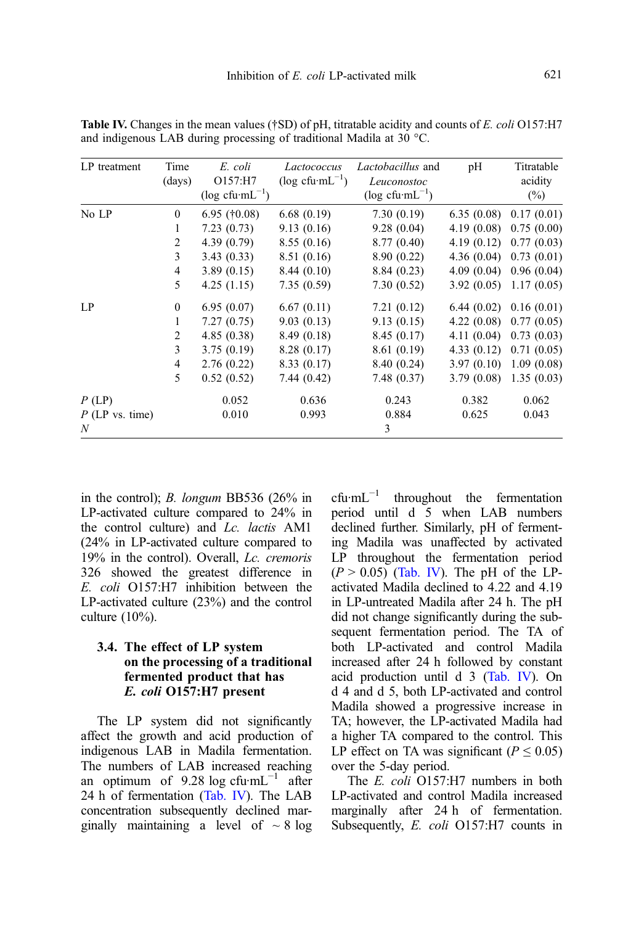| LP treatment      | Time           | E. coli                 | Lactococcus                 | Lactobacillus and            | pH         | Titratable                 |
|-------------------|----------------|-------------------------|-----------------------------|------------------------------|------------|----------------------------|
|                   | (days)         | O157:H7                 | $(\log c f \cdot m L^{-1})$ | Leuconostoc                  |            | acidity                    |
|                   |                | $(\log c f w m L^{-1})$ |                             | $(\log c f u \cdot mL^{-1})$ |            | $(\%)$                     |
| No LP             | $\theta$       | $6.95$ († $0.08$ )      | 6.68(0.19)                  | 7.30(0.19)                   |            | $6.35(0.08)$ $0.17(0.01)$  |
|                   | 1              | 7.23(0.73)              | 9.13(0.16)                  | 9.28(0.04)                   | 4.19(0.08) | 0.75(0.00)                 |
|                   | 2              | 4.39(0.79)              | 8.55(0.16)                  | 8.77 (0.40)                  | 4.19(0.12) | 0.77(0.03)                 |
|                   | 3              | 3.43(0.33)              | 8.51(0.16)                  | 8.90 (0.22)                  | 4.36(0.04) | 0.73(0.01)                 |
|                   | $\overline{4}$ | 3.89(0.15)              | 8.44(0.10)                  | 8.84(0.23)                   | 4.09(0.04) | 0.96(0.04)                 |
|                   | 5              | 4.25(1.15)              | 7.35(0.59)                  | 7.30(0.52)                   |            | $3.92(0.05)$ 1.17 $(0.05)$ |
| LP                | $\theta$       | 6.95(0.07)              | 6.67(0.11)                  | 7.21(0.12)                   |            | $6.44(0.02)$ 0.16 (0.01)   |
|                   |                | 7.27(0.75)              | 9.03(0.13)                  | 9.13(0.15)                   | 4.22(0.08) | 0.77(0.05)                 |
|                   | 2              | 4.85(0.38)              | 8.49(0.18)                  | 8.45(0.17)                   | 4.11(0.04) | 0.73(0.03)                 |
|                   | 3              | 3.75(0.19)              | 8.28(0.17)                  | 8.61 (0.19)                  | 4.33(0.12) | 0.71(0.05)                 |
|                   | $\overline{4}$ | 2.76(0.22)              | 8.33(0.17)                  | 8.40 (0.24)                  | 3.97(0.10) | 1.09(0.08)                 |
|                   | 5              | 0.52(0.52)              | 7.44(0.42)                  | 7.48 (0.37)                  | 3.79(0.08) | 1.35(0.03)                 |
| $P$ (LP)          |                | 0.052                   | 0.636                       | 0.243                        | 0.382      | 0.062                      |
| $P$ (LP vs. time) |                | 0.010                   | 0.993                       | 0.884                        | 0.625      | 0.043                      |
| $\boldsymbol{N}$  |                |                         |                             | 3                            |            |                            |

<span id="page-8-0"></span>Table IV. Changes in the mean values (†SD) of pH, titratable acidity and counts of E, coli O157:H7 and indigenous LAB during processing of traditional Madila at 30 °C.

in the control); B. longum BB536 (26% in LP-activated culture compared to 24% in the control culture) and Lc. lactis AM1 (24% in LP-activated culture compared to 19% in the control). Overall, Lc. cremoris 326 showed the greatest difference in E. coli O157:H7 inhibition between the LP-activated culture (23%) and the control culture  $(10\%)$ .

# 3.4. The effect of LP system on the processing of a traditional fermented product that has E. coli O157:H7 present

The LP system did not significantly affect the growth and acid production of indigenous LAB in Madila fermentation. The numbers of LAB increased reaching an optimum of 9.28 log cfu·mL<sup>-1</sup> after 24 h of fermentation (Tab. IV). The LAB concentration subsequently declined marginally maintaining a level of  $\sim 8 \log$   $cfu·mL^{-1}$  throughout the fermentation period until d 5 when LAB numbers declined further. Similarly, pH of fermenting Madila was unaffected by activated LP throughout the fermentation period  $(P > 0.05)$  (Tab. IV). The pH of the LPactivated Madila declined to 4.22 and 4.19 in LP-untreated Madila after 24 h. The pH did not change significantly during the subsequent fermentation period. The TA of both LP-activated and control Madila increased after 24 h followed by constant acid production until d 3 (Tab. IV). On d 4 and d 5, both LP-activated and control Madila showed a progressive increase in TA; however, the LP-activated Madila had a higher TA compared to the control. This LP effect on TA was significant ( $P \le 0.05$ ) over the 5-day period.

The *E. coli* O157:H7 numbers in both LP-activated and control Madila increased marginally after 24 h of fermentation. Subsequently, E. coli O157:H7 counts in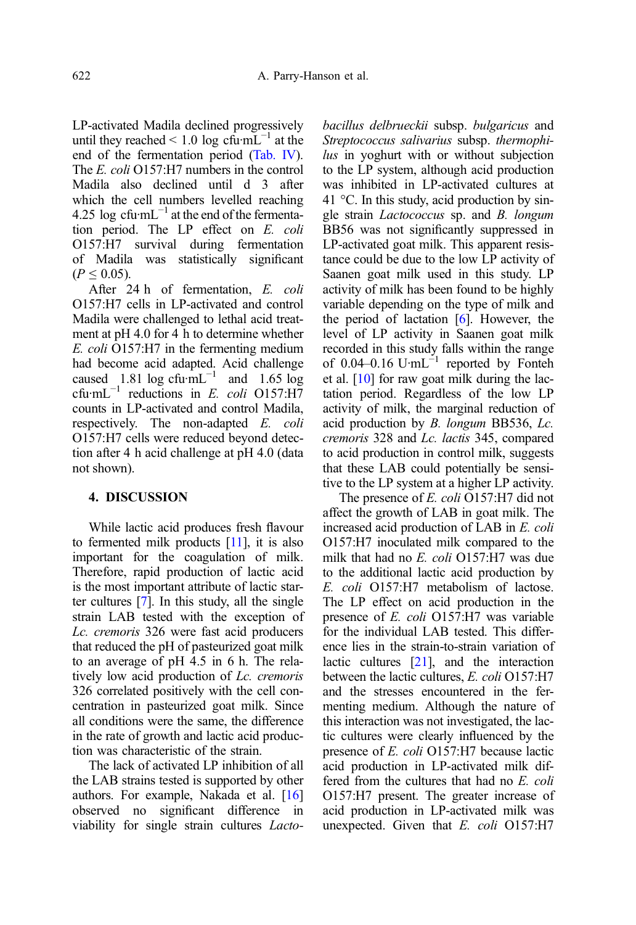LP-activated Madila declined progressively until they reached < 1.0 log cfu·mL<sup>-1</sup> at the end of the fermentation period [\(Tab. IV\)](#page-8-0). The *E. coli* O157:H7 numbers in the control Madila also declined until d 3 after which the cell numbers levelled reaching 4.25 log cfu·m $L^{-1}$  at the end of the fermentation period. The LP effect on E. coli O157:H7 survival during fermentation of Madila was statistically significant  $(P \le 0.05)$ .

After 24 h of fermentation, E. coli O157:H7 cells in LP-activated and control Madila were challenged to lethal acid treatment at pH 4.0 for 4 h to determine whether E. coli O157:H7 in the fermenting medium had become acid adapted. Acid challenge caused 1.81 log cfu $\cdot$ mL<sup>-1</sup> and 1.65 log cfu·mL<sup> $-1$ </sup> reductions in E. coli O157:H7 counts in LP-activated and control Madila, respectively. The non-adapted E. coli O157:H7 cells were reduced beyond detection after 4 h acid challenge at pH 4.0 (data not shown).

### 4. DISCUSSION

While lactic acid produces fresh flavour to fermented milk products [\[11\]](#page-11-0), it is also important for the coagulation of milk. Therefore, rapid production of lactic acid is the most important attribute of lactic starter cultures [\[7](#page-11-0)]. In this study, all the single strain LAB tested with the exception of Lc. cremoris 326 were fast acid producers that reduced the pH of pasteurized goat milk to an average of pH 4.5 in 6 h. The relatively low acid production of Lc. cremoris 326 correlated positively with the cell concentration in pasteurized goat milk. Since all conditions were the same, the difference in the rate of growth and lactic acid production was characteristic of the strain.

The lack of activated LP inhibition of all the LAB strains tested is supported by other authors. For example, Nakada et al. [\[16](#page-12-0)] observed no significant difference in viability for single strain cultures Lactobacillus delbrueckii subsp. bulgaricus and Streptococcus salivarius subsp. thermophilus in yoghurt with or without subjection to the LP system, although acid production was inhibited in LP-activated cultures at 41 °C. In this study, acid production by single strain Lactococcus sp. and B. longum BB56 was not significantly suppressed in LP-activated goat milk. This apparent resistance could be due to the low LP activity of Saanen goat milk used in this study. LP activity of milk has been found to be highly variable depending on the type of milk and the period of lactation  $[6]$ . However, the level of LP activity in Saanen goat milk recorded in this study falls within the range of 0.04–0.16 U·mL $^{-1}$  reported by Fonteh et al. [[10](#page-11-0)] for raw goat milk during the lactation period. Regardless of the low LP activity of milk, the marginal reduction of acid production by B. longum BB536, Lc. cremoris 328 and Lc. lactis 345, compared to acid production in control milk, suggests that these LAB could potentially be sensitive to the LP system at a higher LP activity.

The presence of *E. coli* O157:H7 did not affect the growth of LAB in goat milk. The increased acid production of LAB in E. coli O157:H7 inoculated milk compared to the milk that had no E. coli O157:H7 was due to the additional lactic acid production by E. coli O157:H7 metabolism of lactose. The LP effect on acid production in the presence of E. coli O157:H7 was variable for the individual LAB tested. This difference lies in the strain-to-strain variation of lactic cultures [\[21\]](#page-12-0), and the interaction between the lactic cultures, E. coli O157:H7 and the stresses encountered in the fermenting medium. Although the nature of this interaction was not investigated, the lactic cultures were clearly influenced by the presence of E. coli O157:H7 because lactic acid production in LP-activated milk differed from the cultures that had no E. coli O157:H7 present. The greater increase of acid production in LP-activated milk was unexpected. Given that E. coli O157:H7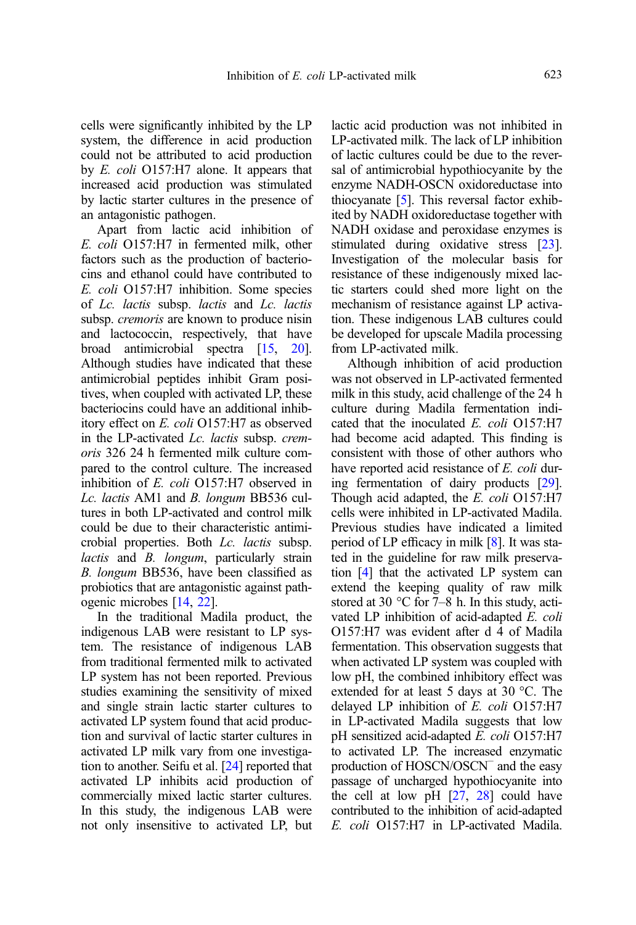cells were significantly inhibited by the LP system, the difference in acid production could not be attributed to acid production by E. coli O157:H7 alone. It appears that increased acid production was stimulated by lactic starter cultures in the presence of an antagonistic pathogen.

Apart from lactic acid inhibition of E. coli O157:H7 in fermented milk, other factors such as the production of bacteriocins and ethanol could have contributed to E. coli O157:H7 inhibition. Some species of Lc. lactis subsp. lactis and Lc. lactis subsp. *cremoris* are known to produce nisin and lactococcin, respectively, that have broad antimicrobial spectra [\[15,](#page-12-0) [20](#page-12-0)]. Although studies have indicated that these antimicrobial peptides inhibit Gram positives, when coupled with activated LP, these bacteriocins could have an additional inhibitory effect on E. coli O157:H7 as observed in the LP-activated Lc. lactis subsp. cremoris 326 24 h fermented milk culture compared to the control culture. The increased inhibition of E. coli O157:H7 observed in Lc. lactis AM1 and B. longum BB536 cultures in both LP-activated and control milk could be due to their characteristic antimicrobial properties. Both Lc. lactis subsp. lactis and B. longum, particularly strain B. longum BB536, have been classified as probiotics that are antagonistic against pathogenic microbes [[14,](#page-12-0) [22\]](#page-12-0).

In the traditional Madila product, the indigenous LAB were resistant to LP system. The resistance of indigenous LAB from traditional fermented milk to activated LP system has not been reported. Previous studies examining the sensitivity of mixed and single strain lactic starter cultures to activated LP system found that acid production and survival of lactic starter cultures in activated LP milk vary from one investigation to another. Seifu et al. [\[24\]](#page-12-0) reported that activated LP inhibits acid production of commercially mixed lactic starter cultures. In this study, the indigenous LAB were not only insensitive to activated LP, but lactic acid production was not inhibited in LP-activated milk. The lack of LP inhibition of lactic cultures could be due to the reversal of antimicrobial hypothiocyanite by the enzyme NADH-OSCN oxidoreductase into thiocyanate [[5\]](#page-11-0). This reversal factor exhibited by NADH oxidoreductase together with NADH oxidase and peroxidase enzymes is stimulated during oxidative stress [[23](#page-12-0)]. Investigation of the molecular basis for resistance of these indigenously mixed lactic starters could shed more light on the mechanism of resistance against LP activation. These indigenous LAB cultures could be developed for upscale Madila processing from LP-activated milk.

Although inhibition of acid production was not observed in LP-activated fermented milk in this study, acid challenge of the 24 h culture during Madila fermentation indicated that the inoculated E. coli O157:H7 had become acid adapted. This finding is consistent with those of other authors who have reported acid resistance of E. coli during fermentation of dairy products [[29](#page-12-0)]. Though acid adapted, the E. coli O157:H7 cells were inhibited in LP-activated Madila. Previous studies have indicated a limited period of LP efficacy in milk [\[8](#page-11-0)]. It was stated in the guideline for raw milk preservation [\[4](#page-11-0)] that the activated LP system can extend the keeping quality of raw milk stored at 30 °C for 7–8 h. In this study, activated LP inhibition of acid-adapted E. coli O157:H7 was evident after d 4 of Madila fermentation. This observation suggests that when activated LP system was coupled with low pH, the combined inhibitory effect was extended for at least 5 days at 30 °C. The delayed LP inhibition of E. coli O157:H7 in LP-activated Madila suggests that low pH sensitized acid-adapted E. coli O157:H7 to activated LP. The increased enzymatic production of HOSCN/OSCN<sup>−</sup> and the easy passage of uncharged hypothiocyanite into the cell at low pH  $[27, 28]$  $[27, 28]$  $[27, 28]$  $[27, 28]$  could have contributed to the inhibition of acid-adapted E. coli O157:H7 in LP-activated Madila.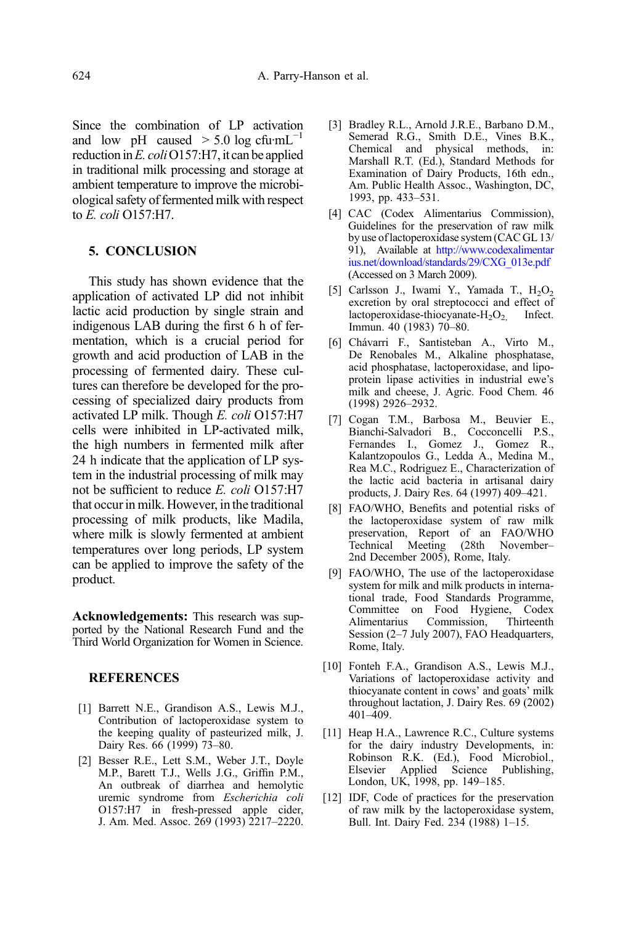<span id="page-11-0"></span>Since the combination of LP activation and low pH caused  $> 5.0$  log cfu·mL<sup>-1</sup> reduction in  $E.$  coli O157:H7, it can be applied in traditional milk processing and storage at ambient temperature to improve the microbiological safety of fermented milk with respect to E. coli O157:H7.

# 5. CONCLUSION

This study has shown evidence that the application of activated LP did not inhibit lactic acid production by single strain and indigenous LAB during the first 6 h of fermentation, which is a crucial period for growth and acid production of LAB in the processing of fermented dairy. These cultures can therefore be developed for the processing of specialized dairy products from activated LP milk. Though E. coli O157:H7 cells were inhibited in LP-activated milk, the high numbers in fermented milk after 24 h indicate that the application of LP system in the industrial processing of milk may not be sufficient to reduce E. coli O157:H7 that occur in milk. However, in the traditional processing of milk products, like Madila, where milk is slowly fermented at ambient temperatures over long periods, LP system can be applied to improve the safety of the product.

Acknowledgements: This research was supported by the National Research Fund and the Third World Organization for Women in Science.

#### REFERENCES

- [1] Barrett N.E., Grandison A.S., Lewis M.J., Contribution of lactoperoxidase system to the keeping quality of pasteurized milk, J. Dairy Res. 66 (1999) 73–80.
- [2] Besser R.E., Lett S.M., Weber J.T., Doyle M.P., Barett T.J., Wells J.G., Griffin P.M., An outbreak of diarrhea and hemolytic uremic syndrome from Escherichia coli O157:H7 in fresh-pressed apple cider, J. Am. Med. Assoc. 269 (1993) 2217–2220.
- [3] Bradley R.L., Arnold J.R.E., Barbano D.M., Semerad R.G., Smith D.E., Vines B.K., Chemical and physical methods, in: Marshall R.T. (Ed.), Standard Methods for Examination of Dairy Products, 16th edn., Am. Public Health Assoc., Washington, DC, 1993, pp. 433–531.
- [4] CAC (Codex Alimentarius Commission), Guidelines for the preservation of raw milk by use of lactoperoxidase system (CAC GL 13/ 91), Available at [http://www.codexalimentar](http://www.codexalimentarius.net/download/standards/29/CXG_013e.pdf) [ius.net/download/standards/29/CXG\\_013e.pdf](http://www.codexalimentarius.net/download/standards/29/CXG_013e.pdf) (Accessed on 3 March 2009).
- [5] Carlsson J., Iwami Y., Yamada T.,  $H_2O_2$ excretion by oral streptococci and effect of lactoperoxidase-thiocyanate- $H_2O_2$  Infect. lactoperoxidase-thiocyanate- $H_2O_2$ Immun. 40 (1983) 70–80.
- [6] Chávarri F., Santisteban A., Virto M., De Renobales M., Alkaline phosphatase, acid phosphatase, lactoperoxidase, and lipoprotein lipase activities in industrial ewe's milk and cheese, J. Agric. Food Chem. 46 (1998) 2926–2932.
- [7] Cogan T.M., Barbosa M., Beuvier E., Bianchi-Salvadori B., Cocconcelli P.S., Fernandes I., Gomez J., Gomez R., Kalantzopoulos G., Ledda A., Medina M., Rea M.C., Rodriguez E., Characterization of the lactic acid bacteria in artisanal dairy products, J. Dairy Res. 64 (1997) 409–421.
- [8] FAO/WHO, Benefits and potential risks of the lactoperoxidase system of raw milk preservation, Report of an FAO/WHO Technical Meeting (28th November– 2nd December 2005), Rome, Italy.
- [9] FAO/WHO, The use of the lactoperoxidase system for milk and milk products in international trade, Food Standards Programme, Committee on Food Hygiene, Codex Commission, Session (2–7 July 2007), FAO Headquarters, Rome, Italy.
- [10] Fonteh F.A., Grandison A.S., Lewis M.J., Variations of lactoperoxidase activity and thiocyanate content in cows' and goats' milk throughout lactation, J. Dairy Res. 69 (2002) 401–409.
- [11] Heap H.A., Lawrence R.C., Culture systems for the dairy industry Developments, in: Robinson R.K. (Ed.), Food Microbiol., Elsevier Applied Science Publishing, London, UK, 1998, pp. 149–185.
- [12] IDF, Code of practices for the preservation of raw milk by the lactoperoxidase system, Bull. Int. Dairy Fed. 234 (1988) 1–15.